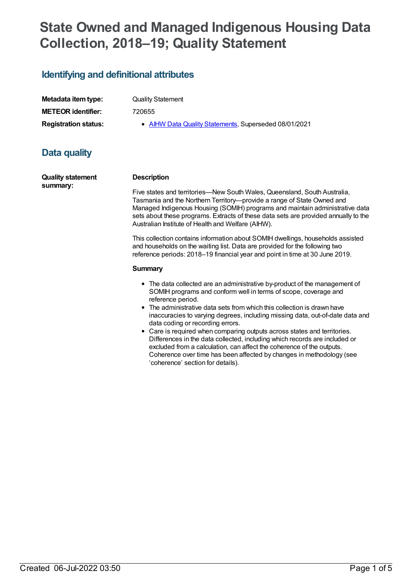# **State Owned and Managed Indigenous Housing Data Collection, 2018–19; Quality Statement**

### **Identifying and definitional attributes**

**Metadata item type:** Quality Statement **METEOR identifier:** 720655

**Registration status:** • AIHW Data Quality [Statements](https://meteor.aihw.gov.au/RegistrationAuthority/5), Superseded 08/01/2021

## **Data quality**

**Quality statement summary:**

#### **Description**

Five states and territories—New South Wales, Queensland, South Australia, Tasmania and the Northern Territory—provide a range of State Owned and Managed Indigenous Housing (SOMIH) programs and maintain administrative data sets about these programs. Extracts of these data sets are provided annually to the Australian Institute of Health and Welfare (AIHW).

This collection contains information about SOMIH dwellings, households assisted and households on the waiting list. Data are provided for the following two reference periods: 2018–19 financial year and point in time at 30 June 2019.

#### **Summary**

- The data collected are an administrative by-product of the management of SOMIH programs and conform well in terms of scope, coverage and reference period.
- The administrative data sets from which this collection is drawn have inaccuracies to varying degrees, including missing data, out-of-date data and data coding or recording errors.
- Care is required when comparing outputs across states and territories. Differences in the data collected, including which records are included or excluded from a calculation, can affect the coherence of the outputs. Coherence over time has been affected by changes in methodology (see 'coherence' section for details).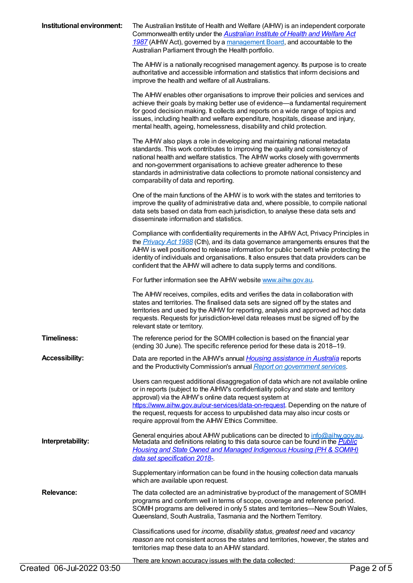| Institutional environment: | The Australian Institute of Health and Welfare (AIHW) is an independent corporate<br>Commonwealth entity under the Australian Institute of Health and Welfare Act<br>1987 (AIHW Act), governed by a management Board, and accountable to the<br>Australian Parliament through the Health portfolio.                                                                                                                                                         |
|----------------------------|-------------------------------------------------------------------------------------------------------------------------------------------------------------------------------------------------------------------------------------------------------------------------------------------------------------------------------------------------------------------------------------------------------------------------------------------------------------|
|                            | The AIHW is a nationally recognised management agency. Its purpose is to create<br>authoritative and accessible information and statistics that inform decisions and<br>improve the health and welfare of all Australians.                                                                                                                                                                                                                                  |
|                            | The AIHW enables other organisations to improve their policies and services and<br>achieve their goals by making better use of evidence—a fundamental requirement<br>for good decision making. It collects and reports on a wide range of topics and<br>issues, including health and welfare expenditure, hospitals, disease and injury,<br>mental health, ageing, homelessness, disability and child protection.                                           |
|                            | The AIHW also plays a role in developing and maintaining national metadata<br>standards. This work contributes to improving the quality and consistency of<br>national health and welfare statistics. The AIHW works closely with governments<br>and non-government organisations to achieve greater adherence to these<br>standards in administrative data collections to promote national consistency and<br>comparability of data and reporting.         |
|                            | One of the main functions of the AIHW is to work with the states and territories to<br>improve the quality of administrative data and, where possible, to compile national<br>data sets based on data from each jurisdiction, to analyse these data sets and<br>disseminate information and statistics.                                                                                                                                                     |
|                            | Compliance with confidentiality requirements in the AIHW Act, Privacy Principles in<br>the <i>Privacy Act 1988</i> (Cth), and its data governance arrangements ensures that the<br>AIHW is well positioned to release information for public benefit while protecting the<br>identity of individuals and organisations. It also ensures that data providers can be<br>confident that the AIHW will adhere to data supply terms and conditions.              |
|                            | For further information see the AIHW website www.aihw.gov.au.                                                                                                                                                                                                                                                                                                                                                                                               |
|                            | The AIHW receives, compiles, edits and verifies the data in collaboration with<br>states and territories. The finalised data sets are signed off by the states and<br>territories and used by the AIHW for reporting, analysis and approved ad hoc data<br>requests. Requests for jurisdiction-level data releases must be signed off by the<br>relevant state or territory.                                                                                |
| <b>Timeliness:</b>         | The reference period for the SOMIH collection is based on the financial year<br>(ending 30 June). The specific reference period for these data is 2018-19.                                                                                                                                                                                                                                                                                                  |
| <b>Accessibility:</b>      | Data are reported in the AIHW's annual <i>Housing assistance in Australia</i> reports<br>and the Productivity Commission's annual Report on government services.                                                                                                                                                                                                                                                                                            |
|                            | Users can request additional disaggregation of data which are not available online<br>or in reports (subject to the AIHW's confidentiality policy and state and territory<br>approval) via the AIHW's online data request system at<br>https://www.aihw.gov.au/our-services/data-on-request. Depending on the nature of<br>the request, requests for access to unpublished data may also incur costs or<br>require approval from the AIHW Ethics Committee. |
| Interpretability:          | General enquiries about AIHW publications can be directed to info@aihw.gov.au.<br>Metadata and definitions relating to this data source can be found in the Public<br><b>Housing and State Owned and Managed Indigenous Housing (PH &amp; SOMIH)</b><br>data set specification 2018-                                                                                                                                                                        |
|                            | Supplementary information can be found in the housing collection data manuals<br>which are available upon request.                                                                                                                                                                                                                                                                                                                                          |
| <b>Relevance:</b>          | The data collected are an administrative by-product of the management of SOMIH<br>programs and conform well in terms of scope, coverage and reference period.<br>SOMIH programs are delivered in only 5 states and territories-New South Wales,<br>Queensland, South Australia, Tasmania and the Northern Territory.                                                                                                                                        |
|                            | Classifications used for income, disability status, greatest need and vacancy<br>reason are not consistent across the states and territories, however, the states and<br>territories map these data to an AIHW standard.                                                                                                                                                                                                                                    |
| Created 06-Jul-2022 03:50  | There are known accuracy issues with the data collected:<br>Page 2 of 5                                                                                                                                                                                                                                                                                                                                                                                     |
|                            |                                                                                                                                                                                                                                                                                                                                                                                                                                                             |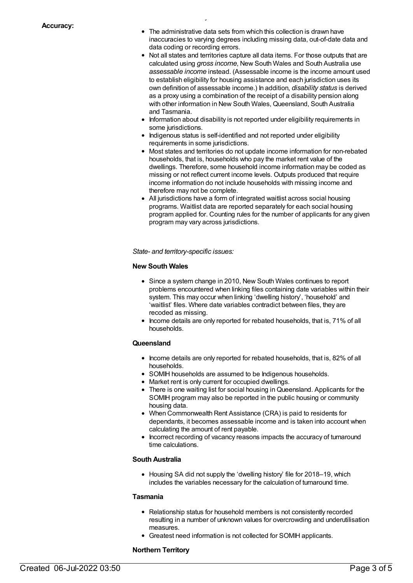The administrative data sets from which this collection is drawn have inaccuracies to varying degrees including missing data, out-of-date data and data coding or recording errors.

There are known accuracy is used with the data collected:  $\mathcal{L}_\text{max}$ 

- Not all states and territories capture all data items. For those outputs that are calculated using *gross income*, New South Wales and South Australia use *assessable income* instead. (Assessable income is the income amount used to establish eligibility for housing assistance and each jurisdiction uses its own definition of assessable income.) In addition, *disability status* is derived as a proxy using a combination of the receipt of a disability pension along with other information in New South Wales, Queensland, South Australia and Tasmania.
- Information about disability is not reported under eligibility requirements in some jurisdictions.
- Indigenous status is self-identified and not reported under eligibility requirements in some jurisdictions.
- Most states and territories do not update income information for non-rebated households, that is, households who pay the market rent value of the dwellings. Therefore, some household income information may be coded as missing or not reflect current income levels. Outputs produced that require income information do not include households with missing income and therefore may not be complete.
- All jurisdictions have a form of integrated waitlist across social housing programs. Waitlist data are reported separately for each social housing program applied for. Counting rules for the number of applicants for any given program may vary across jurisdictions.

*State- and territory-specific issues:*

#### **New South Wales**

- Since a system change in 2010, New South Wales continues to report problems encountered when linking files containing date variables within their system. This may occur when linking 'dwelling history', 'household' and 'waitlist' files. Where date variables contradict between files, they are recoded as missing.
- Income details are only reported for rebated households, that is, 71% of all households.

#### **Queensland**

- Income details are only reported for rebated households, that is, 82% of all households.
- SOMIH households are assumed to be Indigenous households.
- Market rent is only current for occupied dwellings.
- There is one waiting list for social housing in Queensland. Applicants for the SOMIH program may also be reported in the public housing or community housing data.
- When Commonwealth Rent Assistance (CRA) is paid to residents for dependants, it becomes assessable income and is taken into account when calculating the amount of rent payable.
- Incorrect recording of vacancy reasons impacts the accuracy of turnaround time calculations.

#### **South Australia**

• Housing SA did not supply the 'dwelling history' file for 2018–19, which includes the variables necessary for the calculation of turnaround time.

#### **Tasmania**

- Relationship status for household members is not consistently recorded resulting in a number of unknown values for overcrowding and underutilisation measures.
- Greatest need information is not collected for SOMIH applicants.

#### **Northern Territory**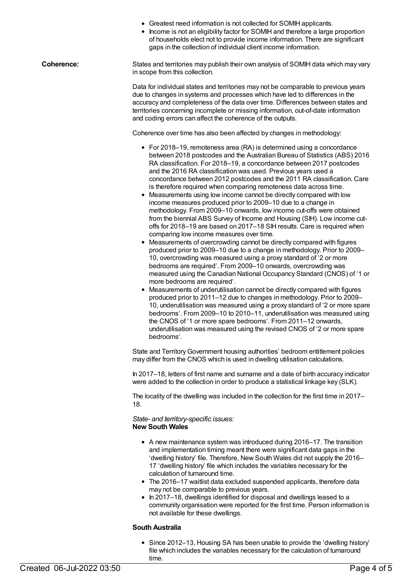|  | • Greatest need information is not collected for SOMIH applicants. |  |  |  |  |
|--|--------------------------------------------------------------------|--|--|--|--|
|--|--------------------------------------------------------------------|--|--|--|--|

• Income is not an eligibility factor for SOMIH and therefore a large proportion of households elect not to provide income information. There are significant gaps in the collection of individual client income information.

**Coherence:** States and territories may publish their own analysis of SOMIH data which may vary in scope from this collection.

> Data for individual states and territories may not be comparable to previous years due to changes in systems and processes which have led to differences in the accuracy and completeness of the data over time. Differences between states and territories concerning incomplete or missing information, out-of-date information and coding errors can affect the coherence of the outputs.

Coherence over time has also been affected by changes in methodology:

- For 2018–19, remoteness area (RA) is determined using a concordance between 2018 postcodes and the Australian Bureau of Statistics (ABS) 2016 RA classification. For 2018–19, a concordance between 2017 postcodes and the 2016 RA classification was used. Previous years used a concordance between 2012 postcodes and the 2011 RA classification. Care is therefore required when comparing remoteness data across time.
- Measurements using low income cannot be directly compared with low income measures produced prior to 2009–10 due to a change in methodology. From 2009–10 onwards, low income cut-offs were obtained from the biennial ABS Survey of Income and Housing (SIH). Low income cutoffs for 2018–19 are based on 2017–18 SIH results. Care is required when comparing low income measures over time.
- Measurements of overcrowding cannot be directly compared with figures produced prior to 2009–10 due to a change in methodology. Prior to 2009– 10, overcrowding was measured using a proxy standard of '2 or more bedrooms are required'. From 2009–10 onwards, overcrowding was measured using the Canadian National Occupancy Standard (CNOS) of '1 or more bedrooms are required'.
- Measurements of underutilisation cannot be directly compared with figures produced prior to 2011–12 due to changes in methodology. Prior to 2009– 10, underutilisation was measured using a proxy standard of '2 or more spare bedrooms'. From 2009–10 to 2010–11, underutilisation was measured using the CNOS of '1 or more spare bedrooms'. From 2011–12 onwards, underutilisation was measured using the revised CNOS of '2 or more spare bedrooms'.

State and TerritoryGovernment housing authorities' bedroom entitlement policies may differ from the CNOS which is used in dwelling utilisation calculations.

In 2017–18, letters of first name and surname and a date of birth accuracy indicator were added to the collection in order to produce a statistical linkage key (SLK).

The locality of the dwelling was included in the collection for the first time in 2017– 18.

*State- and territory-specific issues:* **New South Wales**

- A new maintenance system was introduced during 2016–17. The transition and implementation timing meant there were significant data gaps in the 'dwelling history' file. Therefore, New South Wales did not supply the 2016– 17 'dwelling history' file which includes the variables necessary for the calculation of turnaround time.
- The 2016–17 waitlist data excluded suspended applicants, therefore data may not be comparable to previous years.
- In 2017–18, dwellings identified for disposal and dwellings leased to a community organisation were reported for the first time. Person information is not available for these dwellings.

#### **South Australia**

• Since 2012-13, Housing SA has been unable to provide the 'dwelling history' file which includes the variables necessary for the calculation of turnaround time.